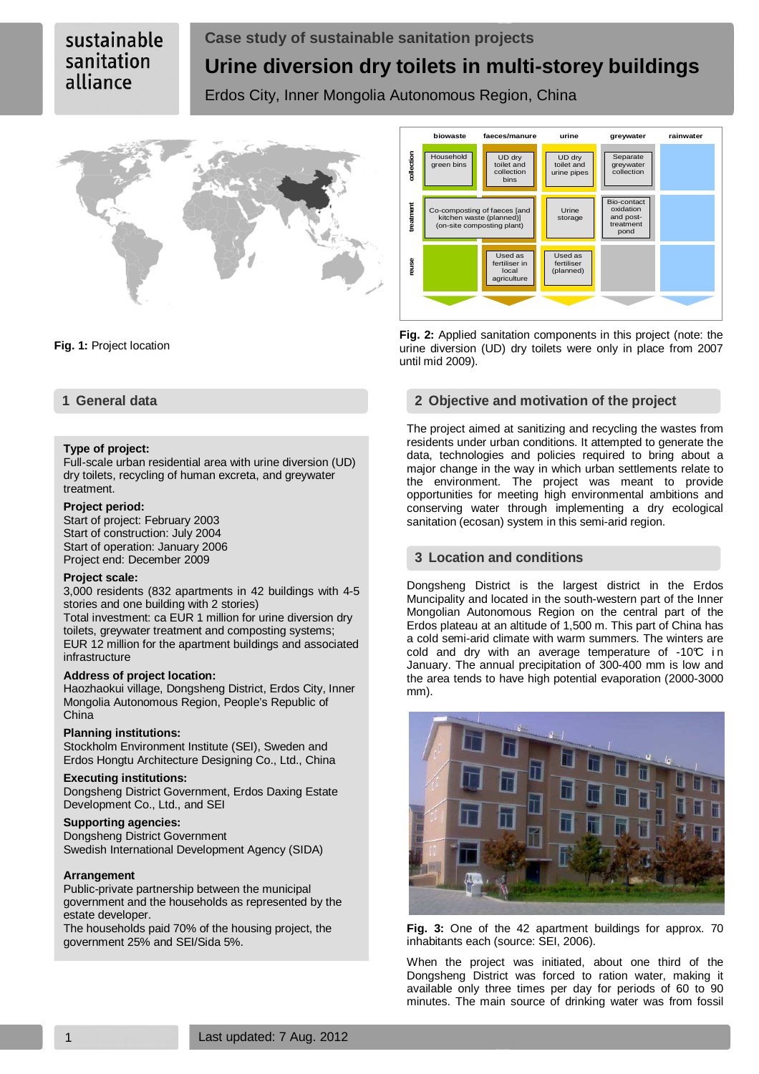# sustainable sanitation alliance

# **Case study of sustainable sanitation projects Urine diversion dry toilets in multi-storey buildings**

Erdos City, Inner Mongolia Autonomous Region, China



**Fig. 1:** Project location

### **Type of project:**

Full-scale urban residential area with urine diversion (UD) dry toilets, recycling of human excreta, and greywater treatment.

#### **Project period:**

Start of project: February 2003 Start of construction: July 2004 Start of operation: January 2006 Project end: December 2009

#### **Project scale:**

3,000 residents (832 apartments in 42 buildings with 4-5 stories and one building with 2 stories)

Total investment: ca EUR 1 million for urine diversion dry toilets, greywater treatment and composting systems; EUR 12 million for the apartment buildings and associated infrastructure

#### **Address of project location:**

Haozhaokui village, Dongsheng District, Erdos City, Inner Mongolia Autonomous Region, People's Republic of China

#### **Planning institutions:**

Stockholm Environment Institute (SEI), Sweden and Erdos Hongtu Architecture Designing Co., Ltd., China

#### **Executing institutions:**

Dongsheng District Government, Erdos Daxing Estate Development Co., Ltd., and SEI

# **Supporting agencies:**

Dongsheng District Government Swedish International Development Agency (SIDA)

#### **Arrangement**

Public-private partnership between the municipal government and the households as represented by the estate developer.

The households paid 70% of the housing project, the government 25% and SEI/Sida 5%.



**Fig. 2:** Applied sanitation components in this project (note: the urine diversion (UD) dry toilets were only in place from 2007 until mid 2009).

# **1 General data 2 Objective and motivation of the project**

The project aimed at sanitizing and recycling the wastes from residents under urban conditions. It attempted to generate the data, technologies and policies required to bring about a major change in the way in which urban settlements relate to the environment. The project was meant to provide opportunities for meeting high environmental ambitions and conserving water through implementing a dry ecological sanitation (ecosan) system in this semi-arid region.

# **3 Location and conditions**

Dongsheng District is the largest district in the Erdos Muncipality and located in the south-western part of the Inner Mongolian Autonomous Region on the central part of the Erdos plateau at an altitude of 1,500 m. This part of China has a cold semi-arid climate with warm summers. The winters are cold and dry with an average temperature of  $-10^{\circ}$  in January. The annual precipitation of 300-400 mm is low and the area tends to have high potential evaporation (2000-3000 mm).



**Fig. 3:** One of the 42 apartment buildings for approx. 70 inhabitants each (source: SEI, 2006).

When the project was initiated, about one third of the Dongsheng District was forced to ration water, making it available only three times per day for periods of 60 to 90 minutes. The main source of drinking water was from fossil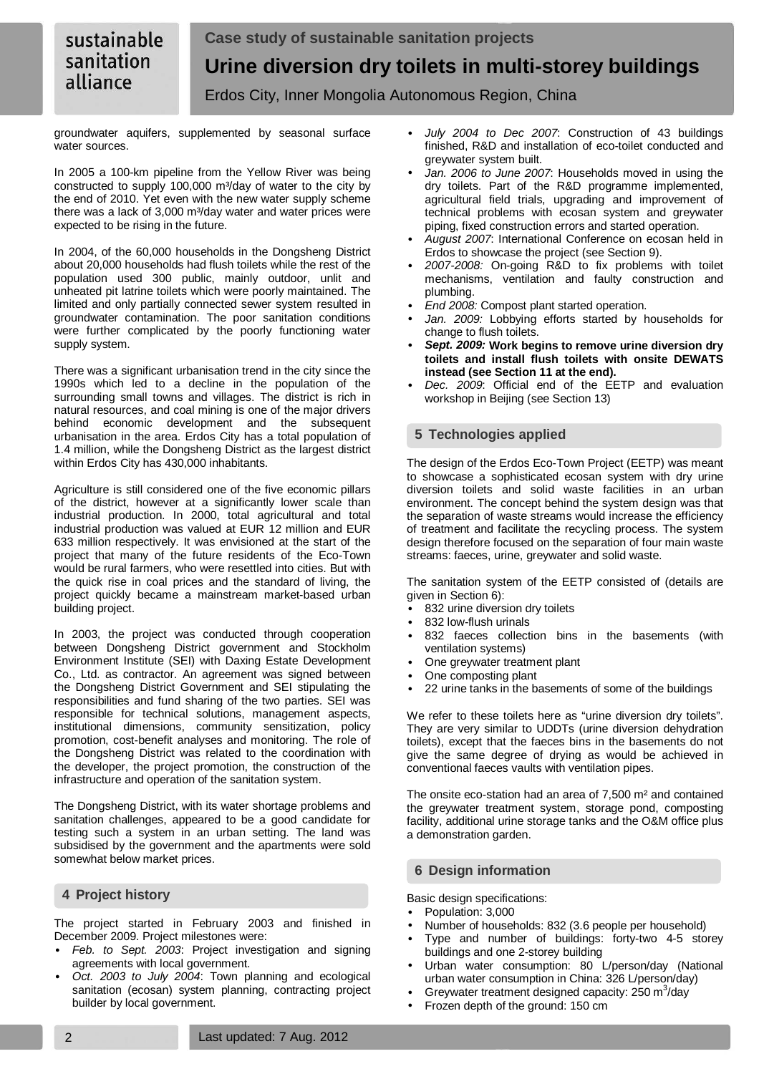groundwater aquifers, supplemented by seasonal surface water sources.

In 2005 a 100-km pipeline from the Yellow River was being constructed to supply 100,000 m<sup>3</sup>/day of water to the city by the end of 2010. Yet even with the new water supply scheme there was a lack of 3,000 m<sup>3</sup>/day water and water prices were expected to be rising in the future.

In 2004, of the 60,000 households in the Dongsheng District about 20,000 households had flush toilets while the rest of the population used 300 public, mainly outdoor, unlit and unheated pit latrine toilets which were poorly maintained. The limited and only partially connected sewer system resulted in groundwater contamination. The poor sanitation conditions were further complicated by the poorly functioning water supply system.

There was a significant urbanisation trend in the city since the 1990s which led to a decline in the population of the surrounding small towns and villages. The district is rich in natural resources, and coal mining is one of the major drivers behind economic development and the subsequent urbanisation in the area. Erdos City has a total population of 1.4 million, while the Dongsheng District as the largest district within Erdos City has 430,000 inhabitants.

Agriculture is still considered one of the five economic pillars of the district, however at a significantly lower scale than industrial production. In 2000, total agricultural and total industrial production was valued at EUR 12 million and EUR 633 million respectively. It was envisioned at the start of the project that many of the future residents of the Eco-Town would be rural farmers, who were resettled into cities. But with the quick rise in coal prices and the standard of living, the project quickly became a mainstream market-based urban building project.

In 2003, the project was conducted through cooperation between Dongsheng District government and Stockholm Environment Institute (SEI) with Daxing Estate Development Co., Ltd. as contractor. An agreement was signed between the Dongsheng District Government and SEI stipulating the responsibilities and fund sharing of the two parties. SEI was responsible for technical solutions, management aspects, institutional dimensions, community sensitization, policy promotion, cost-benefit analyses and monitoring. The role of the Dongsheng District was related to the coordination with the developer, the project promotion, the construction of the infrastructure and operation of the sanitation system.

The Dongsheng District, with its water shortage problems and sanitation challenges, appeared to be a good candidate for testing such a system in an urban setting. The land was subsidised by the government and the apartments were sold somewhat below market prices.

# **4 Project history**

The project started in February 2003 and finished in December 2009. Project milestones were:

- Feb. to Sept. 2003: Project investigation and signing agreements with local government.
- Oct. 2003 to July 2004: Town planning and ecological sanitation (ecosan) system planning, contracting project builder by local government.
- July 2004 to Dec 2007: Construction of 43 buildings finished, R&D and installation of eco-toilet conducted and greywater system built.
- Jan. 2006 to June 2007: Households moved in using the dry toilets. Part of the R&D programme implemented, agricultural field trials, upgrading and improvement of technical problems with ecosan system and greywater piping, fixed construction errors and started operation.
- August 2007: International Conference on ecosan held in Erdos to showcase the project (see Section 9).
- 2007-2008: On-going R&D to fix problems with toilet mechanisms, ventilation and faulty construction and plumbing.
- End 2008: Compost plant started operation.
- Jan. 2009: Lobbying efforts started by households for change to flush toilets.
- **Sept. 2009: Work begins to remove urine diversion dry toilets and install flush toilets with onsite DEWATS instead (see Section 11 at the end).**
- Dec. 2009. Official end of the EETP and evaluation workshop in Beijing (see Section 13)

# **5 Technologies applied**

The design of the Erdos Eco-Town Project (EETP) was meant to showcase a sophisticated ecosan system with dry urine diversion toilets and solid waste facilities in an urban environment. The concept behind the system design was that the separation of waste streams would increase the efficiency of treatment and facilitate the recycling process. The system design therefore focused on the separation of four main waste streams: faeces, urine, greywater and solid waste.

The sanitation system of the EETP consisted of (details are given in Section 6):

- 832 urine diversion dry toilets
- 832 low-flush urinals
- 832 faeces collection bins in the basements (with ventilation systems)
- One greywater treatment plant
- One composting plant
- 22 urine tanks in the basements of some of the buildings

We refer to these toilets here as "urine diversion dry toilets". They are very similar to UDDTs (urine diversion dehydration toilets), except that the faeces bins in the basements do not give the same degree of drying as would be achieved in conventional faeces vaults with ventilation pipes.

The onsite eco-station had an area of 7,500 m² and contained the greywater treatment system, storage pond, composting facility, additional urine storage tanks and the O&M office plus a demonstration garden.

# **6 Design information**

Basic design specifications:

- Population: 3,000
- Number of households: 832 (3.6 people per household)
- Type and number of buildings: forty-two 4-5 storey buildings and one 2-storey building
- Urban water consumption: 80 L/person/day (National urban water consumption in China: 326 L/person/day)
- Greywater treatment designed capacity:  $250 \text{ m}^3$ /day
- Frozen depth of the ground: 150 cm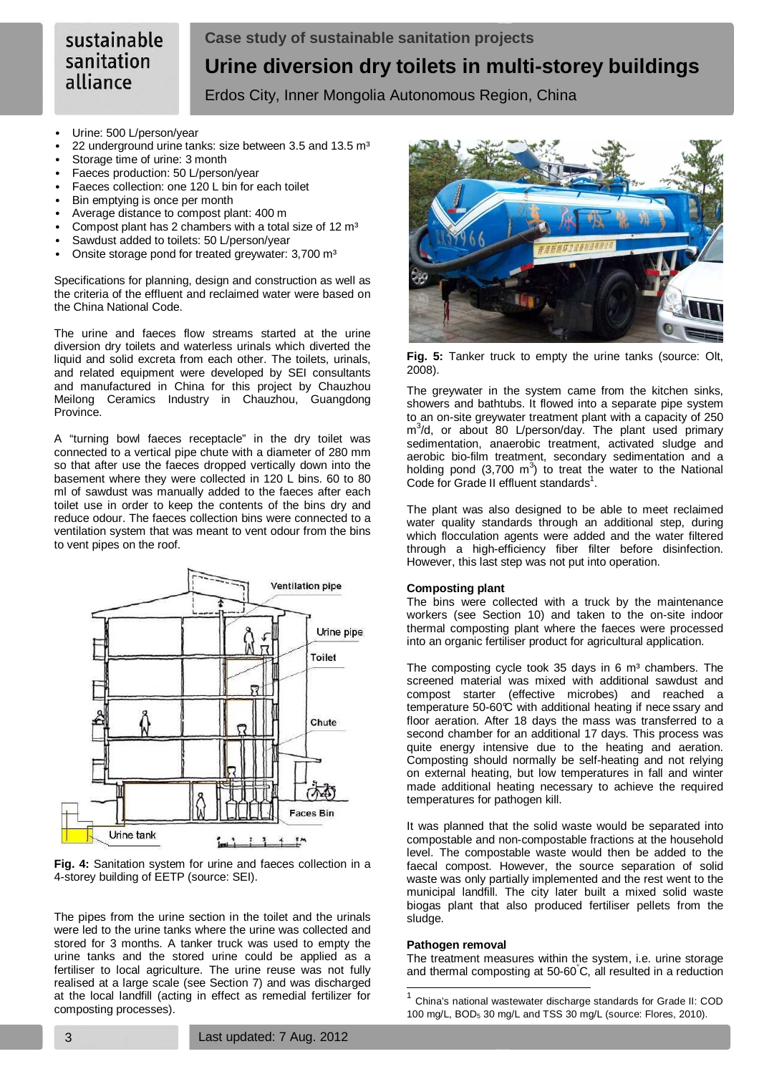- Urine: 500 L/person/year
- 22 underground urine tanks: size between 3.5 and 13.5 m<sup>3</sup>
- Storage time of urine: 3 month
- Faeces production: 50 L/person/year
- Faeces collection: one 120 L bin for each toilet
- Bin emptying is once per month
- Average distance to compost plant: 400 m
- Compost plant has 2 chambers with a total size of 12 m<sup>3</sup>
- Sawdust added to toilets: 50 L/person/year
- Onsite storage pond for treated greywater: 3,700 m<sup>3</sup>

Specifications for planning, design and construction as well as the criteria of the effluent and reclaimed water were based on the China National Code.

The urine and faeces flow streams started at the urine diversion dry toilets and waterless urinals which diverted the liquid and solid excreta from each other. The toilets, urinals, and related equipment were developed by SEI consultants and manufactured in China for this project by Chauzhou Meilong Ceramics Industry in Chauzhou, Guangdong Province.

A "turning bowl faeces receptacle" in the dry toilet was connected to a vertical pipe chute with a diameter of 280 mm so that after use the faeces dropped vertically down into the basement where they were collected in 120 L bins. 60 to 80 ml of sawdust was manually added to the faeces after each toilet use in order to keep the contents of the bins dry and reduce odour. The faeces collection bins were connected to a ventilation system that was meant to vent odour from the bins to vent pipes on the roof.





The pipes from the urine section in the toilet and the urinals were led to the urine tanks where the urine was collected and stored for 3 months. A tanker truck was used to empty the urine tanks and the stored urine could be applied as a fertiliser to local agriculture. The urine reuse was not fully realised at a large scale (see Section 7) and was discharged at the local landfill (acting in effect as remedial fertilizer for composting processes).



**Fig. 5:** Tanker truck to empty the urine tanks (source: Olt, 2008).

The greywater in the system came from the kitchen sinks, showers and bathtubs. It flowed into a separate pipe system to an on-site greywater treatment plant with a capacity of 250 m<sup>3</sup>/d, or about 80 L/person/day. The plant used primary sedimentation, anaerobic treatment, activated sludge and aerobic bio-film treatment, secondary sedimentation and a holding pond  $(3,700 \text{ m}^3)$  to treat the water to the National Code for Grade II effluent standards<sup>1</sup>.

The plant was also designed to be able to meet reclaimed water quality standards through an additional step, during which flocculation agents were added and the water filtered through a high-efficiency fiber filter before disinfection. However, this last step was not put into operation.

#### **Composting plant**

The bins were collected with a truck by the maintenance workers (see Section 10) and taken to the on-site indoor thermal composting plant where the faeces were processed into an organic fertiliser product for agricultural application.

The composting cycle took 35 days in 6  $m<sup>3</sup>$  chambers. The screened material was mixed with additional sawdust and compost starter (effective microbes) and reached a temperature 50-60 $\hat{C}$  with additional heating if nece ssary and floor aeration. After 18 days the mass was transferred to a second chamber for an additional 17 days. This process was quite energy intensive due to the heating and aeration. Composting should normally be self-heating and not relying on external heating, but low temperatures in fall and winter made additional heating necessary to achieve the required temperatures for pathogen kill.

It was planned that the solid waste would be separated into compostable and non-compostable fractions at the household level. The compostable waste would then be added to the faecal compost. However, the source separation of solid waste was only partially implemented and the rest went to the municipal landfill. The city later built a mixed solid waste biogas plant that also produced fertiliser pellets from the sludge.

#### **Pathogen removal**

l

The treatment measures within the system, i.e. urine storage and thermal composting at 50-60°C, all resulted in a reduction

<sup>1</sup> China's national wastewater discharge standards for Grade II: COD 100 mg/L, BOD5 30 mg/L and TSS 30 mg/L (source: Flores, 2010).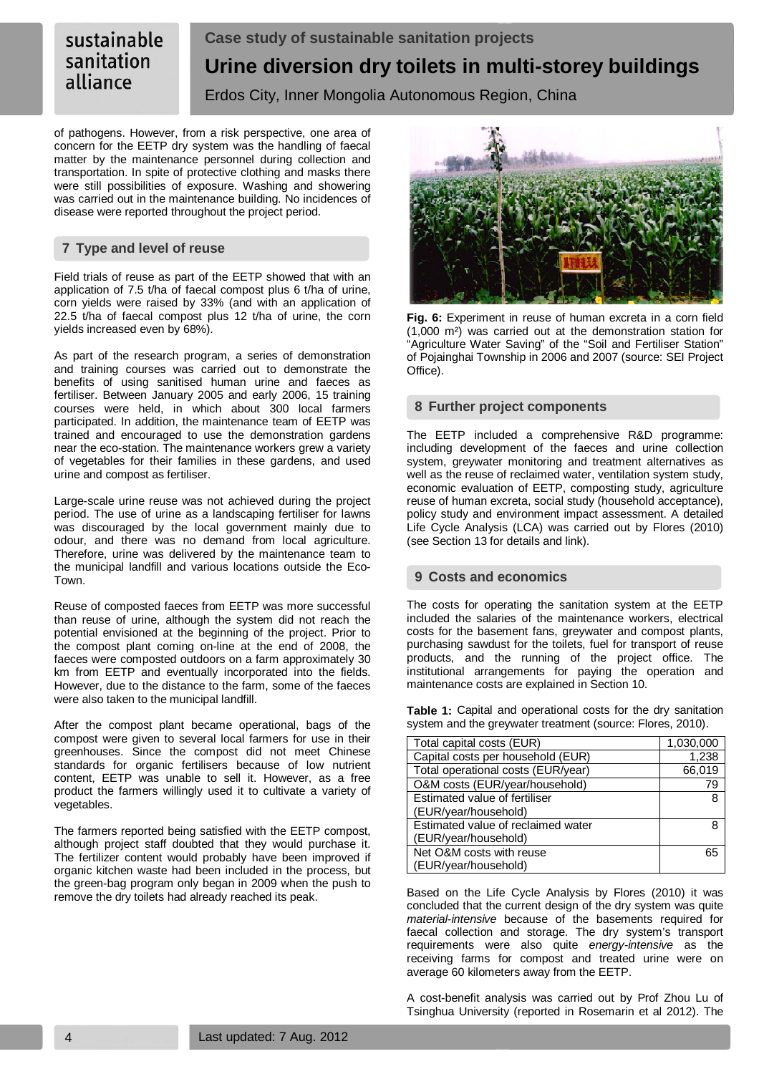of pathogens. However, from a risk perspective, one area of concern for the EETP dry system was the handling of faecal matter by the maintenance personnel during collection and transportation. In spite of protective clothing and masks there were still possibilities of exposure. Washing and showering was carried out in the maintenance building. No incidences of disease were reported throughout the project period.

# **7 Type and level of reuse**

Field trials of reuse as part of the EETP showed that with an application of 7.5 t/ha of faecal compost plus 6 t/ha of urine, corn yields were raised by 33% (and with an application of 22.5 t/ha of faecal compost plus 12 t/ha of urine, the corn yields increased even by 68%).

As part of the research program, a series of demonstration and training courses was carried out to demonstrate the benefits of using sanitised human urine and faeces as fertiliser. Between January 2005 and early 2006, 15 training courses were held, in which about 300 local farmers participated. In addition, the maintenance team of EETP was trained and encouraged to use the demonstration gardens near the eco-station. The maintenance workers grew a variety of vegetables for their families in these gardens, and used urine and compost as fertiliser.

Large-scale urine reuse was not achieved during the project period. The use of urine as a landscaping fertiliser for lawns was discouraged by the local government mainly due to odour, and there was no demand from local agriculture. Therefore, urine was delivered by the maintenance team to the municipal landfill and various locations outside the Eco-Town.

Reuse of composted faeces from EETP was more successful than reuse of urine, although the system did not reach the potential envisioned at the beginning of the project. Prior to the compost plant coming on-line at the end of 2008, the faeces were composted outdoors on a farm approximately 30 km from EETP and eventually incorporated into the fields. However, due to the distance to the farm, some of the faeces were also taken to the municipal landfill.

After the compost plant became operational, bags of the compost were given to several local farmers for use in their greenhouses. Since the compost did not meet Chinese standards for organic fertilisers because of low nutrient content, EETP was unable to sell it. However, as a free product the farmers willingly used it to cultivate a variety of vegetables.

The farmers reported being satisfied with the EETP compost, although project staff doubted that they would purchase it. The fertilizer content would probably have been improved if organic kitchen waste had been included in the process, but the green-bag program only began in 2009 when the push to remove the dry toilets had already reached its peak.



**Fig. 6:** Experiment in reuse of human excreta in a corn field (1,000 m²) was carried out at the demonstration station for "Agriculture Water Saving" of the "Soil and Fertiliser Station" of Pojainghai Township in 2006 and 2007 (source: SEI Project Office).

# **8 Further project components**

The EETP included a comprehensive R&D programme: including development of the faeces and urine collection system, greywater monitoring and treatment alternatives as well as the reuse of reclaimed water, ventilation system study, economic evaluation of EETP, composting study, agriculture reuse of human excreta, social study (household acceptance), policy study and environment impact assessment. A detailed Life Cycle Analysis (LCA) was carried out by Flores (2010) (see Section 13 for details and link).

# **9 Costs and economics**

The costs for operating the sanitation system at the EETP included the salaries of the maintenance workers, electrical costs for the basement fans, greywater and compost plants, purchasing sawdust for the toilets, fuel for transport of reuse products, and the running of the project office. The institutional arrangements for paying the operation and maintenance costs are explained in Section 10.

**Table 1:** Capital and operational costs for the dry sanitation system and the greywater treatment (source: Flores, 2010).

| Total capital costs (EUR)          | 1,030,000 |
|------------------------------------|-----------|
| Capital costs per household (EUR)  | 1,238     |
| Total operational costs (EUR/year) | 66,019    |
| O&M costs (EUR/year/household)     | 79        |
| Estimated value of fertiliser      | 8         |
| (EUR/year/household)               |           |
| Estimated value of reclaimed water | 8         |
| (EUR/year/household)               |           |
| Net O&M costs with reuse           | 65        |
| (EUR/year/household)               |           |

Based on the Life Cycle Analysis by Flores (2010) it was concluded that the current design of the dry system was quite material-intensive because of the basements required for faecal collection and storage. The dry system's transport requirements were also quite energy-intensive as the receiving farms for compost and treated urine were on average 60 kilometers away from the EETP.

A cost-benefit analysis was carried out by Prof Zhou Lu of Tsinghua University (reported in Rosemarin et al 2012). The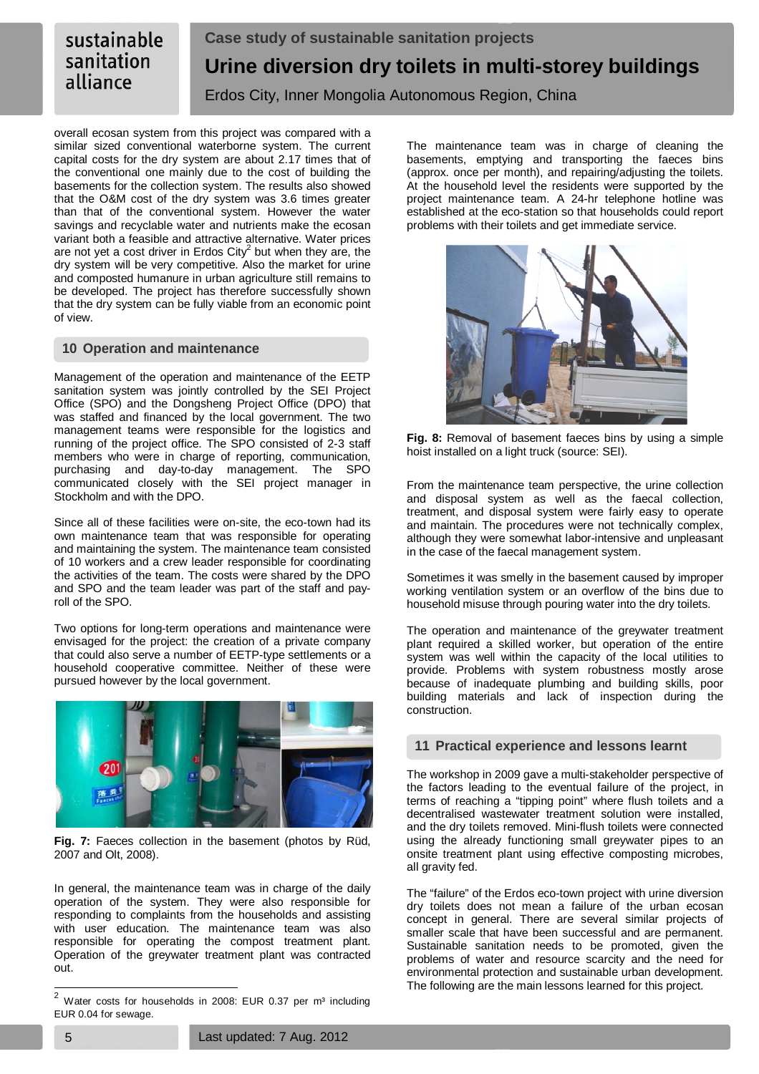overall ecosan system from this project was compared with a similar sized conventional waterborne system. The current capital costs for the dry system are about 2.17 times that of the conventional one mainly due to the cost of building the basements for the collection system. The results also showed that the O&M cost of the dry system was 3.6 times greater than that of the conventional system. However the water savings and recyclable water and nutrients make the ecosan variant both a feasible and attractive alternative. Water prices are not yet a cost driver in Erdos City<sup>2</sup> but when they are, the dry system will be very competitive. Also the market for urine and composted humanure in urban agriculture still remains to be developed. The project has therefore successfully shown that the dry system can be fully viable from an economic point of view.

# **10 Operation and maintenance**

Management of the operation and maintenance of the EETP sanitation system was jointly controlled by the SEI Project Office (SPO) and the Dongsheng Project Office (DPO) that was staffed and financed by the local government. The two management teams were responsible for the logistics and running of the project office. The SPO consisted of 2-3 staff members who were in charge of reporting, communication, purchasing and day-to-day management. The SPO communicated closely with the SEI project manager in Stockholm and with the DPO.

Since all of these facilities were on-site, the eco-town had its own maintenance team that was responsible for operating and maintaining the system. The maintenance team consisted of 10 workers and a crew leader responsible for coordinating the activities of the team. The costs were shared by the DPO and SPO and the team leader was part of the staff and payroll of the SPO.

Two options for long-term operations and maintenance were envisaged for the project: the creation of a private company that could also serve a number of EETP-type settlements or a household cooperative committee. Neither of these were pursued however by the local government.



**Fig. 7:** Faeces collection in the basement (photos by Rüd, 2007 and Olt, 2008).

In general, the maintenance team was in charge of the daily operation of the system. They were also responsible for responding to complaints from the households and assisting with user education. The maintenance team was also responsible for operating the compost treatment plant. Operation of the greywater treatment plant was contracted out.

The maintenance team was in charge of cleaning the basements, emptying and transporting the faeces bins (approx. once per month), and repairing/adjusting the toilets. At the household level the residents were supported by the project maintenance team. A 24-hr telephone hotline was established at the eco-station so that households could report problems with their toilets and get immediate service.



**Fig. 8:** Removal of basement faeces bins by using a simple hoist installed on a light truck (source: SEI).

From the maintenance team perspective, the urine collection and disposal system as well as the faecal collection, treatment, and disposal system were fairly easy to operate and maintain. The procedures were not technically complex, although they were somewhat labor-intensive and unpleasant in the case of the faecal management system.

Sometimes it was smelly in the basement caused by improper working ventilation system or an overflow of the bins due to household misuse through pouring water into the dry toilets.

The operation and maintenance of the greywater treatment plant required a skilled worker, but operation of the entire system was well within the capacity of the local utilities to provide. Problems with system robustness mostly arose because of inadequate plumbing and building skills, poor building materials and lack of inspection during the construction.

# **11 Practical experience and lessons learnt**

The workshop in 2009 gave a multi-stakeholder perspective of the factors leading to the eventual failure of the project, in terms of reaching a "tipping point" where flush toilets and a decentralised wastewater treatment solution were installed, and the dry toilets removed. Mini-flush toilets were connected using the already functioning small greywater pipes to an onsite treatment plant using effective composting microbes, all gravity fed.

The "failure" of the Erdos eco-town project with urine diversion dry toilets does not mean a failure of the urban ecosan concept in general. There are several similar projects of smaller scale that have been successful and are permanent. Sustainable sanitation needs to be promoted, given the problems of water and resource scarcity and the need for environmental protection and sustainable urban development. The following are the main lessons learned for this project.

 $\overline{\mathbf{c}}$ Water costs for households in 2008: EUR 0.37 per m<sup>3</sup> including EUR 0.04 for sewage.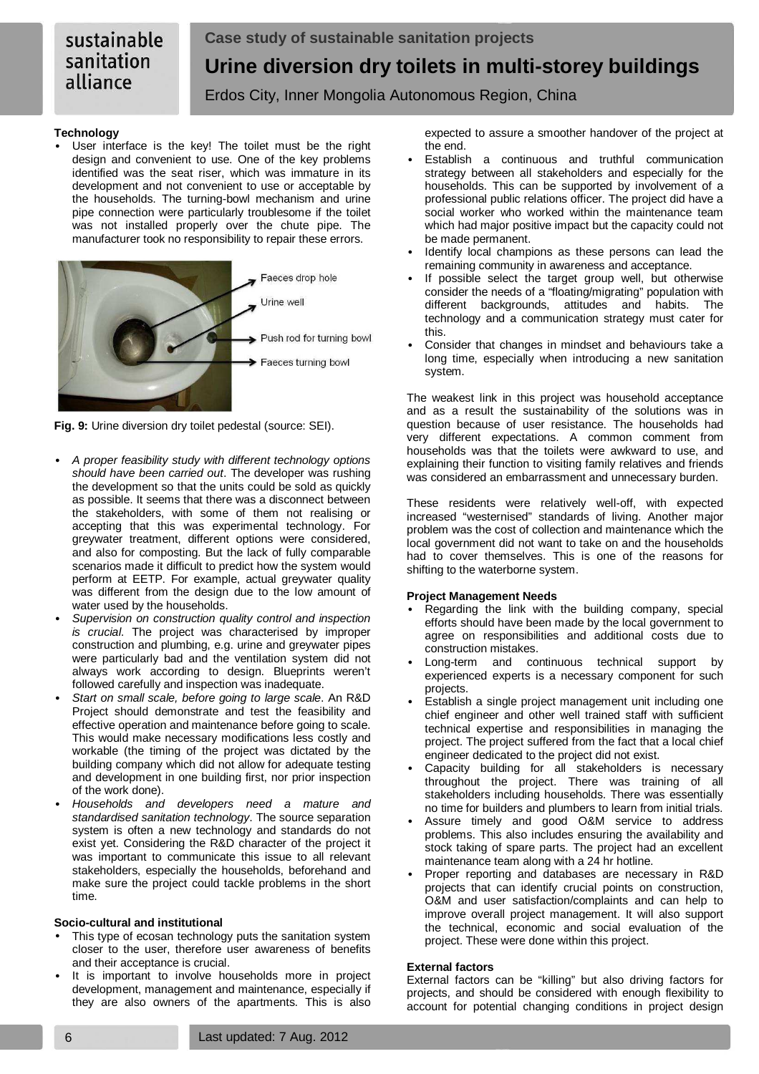# sustainable sanitation alliance

# **Case study of sustainable sanitation projects Urine diversion dry toilets in multi-storey buildings**  Erdos City, Inner Mongolia Autonomous Region, China

# **Technology**

User interface is the key! The toilet must be the right design and convenient to use. One of the key problems identified was the seat riser, which was immature in its development and not convenient to use or acceptable by the households. The turning-bowl mechanism and urine pipe connection were particularly troublesome if the toilet was not installed properly over the chute pipe. The manufacturer took no responsibility to repair these errors.



**Fig. 9:** Urine diversion dry toilet pedestal (source: SEI).

- A proper feasibility study with different technology options should have been carried out. The developer was rushing the development so that the units could be sold as quickly as possible. It seems that there was a disconnect between the stakeholders, with some of them not realising or accepting that this was experimental technology. For greywater treatment, different options were considered, and also for composting. But the lack of fully comparable scenarios made it difficult to predict how the system would perform at EETP. For example, actual greywater quality was different from the design due to the low amount of water used by the households.
- Supervision on construction quality control and inspection is crucial. The project was characterised by improper construction and plumbing, e.g. urine and greywater pipes were particularly bad and the ventilation system did not always work according to design. Blueprints weren't followed carefully and inspection was inadequate.
- Start on small scale, before going to large scale. An R&D Project should demonstrate and test the feasibility and effective operation and maintenance before going to scale. This would make necessary modifications less costly and workable (the timing of the project was dictated by the building company which did not allow for adequate testing and development in one building first, nor prior inspection of the work done).
- Households and developers need a mature and standardised sanitation technology. The source separation system is often a new technology and standards do not exist yet. Considering the R&D character of the project it was important to communicate this issue to all relevant stakeholders, especially the households, beforehand and make sure the project could tackle problems in the short time.

#### **Socio-cultural and institutional**

- This type of ecosan technology puts the sanitation system closer to the user, therefore user awareness of benefits and their acceptance is crucial.
- It is important to involve households more in project development, management and maintenance, especially if they are also owners of the apartments. This is also

expected to assure a smoother handover of the project at the end.

- Establish a continuous and truthful communication strategy between all stakeholders and especially for the households. This can be supported by involvement of a professional public relations officer. The project did have a social worker who worked within the maintenance team which had major positive impact but the capacity could not be made permanent.
- Identify local champions as these persons can lead the remaining community in awareness and acceptance.
- If possible select the target group well, but otherwise consider the needs of a "floating/migrating" population with different backgrounds, attitudes and habits. The technology and a communication strategy must cater for this.
- Consider that changes in mindset and behaviours take a long time, especially when introducing a new sanitation system.

The weakest link in this project was household acceptance and as a result the sustainability of the solutions was in question because of user resistance. The households had very different expectations. A common comment from households was that the toilets were awkward to use, and explaining their function to visiting family relatives and friends was considered an embarrassment and unnecessary burden.

These residents were relatively well-off, with expected increased "westernised" standards of living. Another major problem was the cost of collection and maintenance which the local government did not want to take on and the households had to cover themselves. This is one of the reasons for shifting to the waterborne system.

# **Project Management Needs**

- Regarding the link with the building company, special efforts should have been made by the local government to agree on responsibilities and additional costs due to construction mistakes.
- Long-term and continuous technical support by experienced experts is a necessary component for such projects.
- Establish a single project management unit including one chief engineer and other well trained staff with sufficient technical expertise and responsibilities in managing the project. The project suffered from the fact that a local chief engineer dedicated to the project did not exist.
- Capacity building for all stakeholders is necessary throughout the project. There was training of all stakeholders including households. There was essentially no time for builders and plumbers to learn from initial trials.
- Assure timely and good O&M service to address problems. This also includes ensuring the availability and stock taking of spare parts. The project had an excellent maintenance team along with a 24 hr hotline.
- Proper reporting and databases are necessary in R&D projects that can identify crucial points on construction, O&M and user satisfaction/complaints and can help to improve overall project management. It will also support the technical, economic and social evaluation of the project. These were done within this project.

#### **External factors**

External factors can be "killing" but also driving factors for projects, and should be considered with enough flexibility to account for potential changing conditions in project design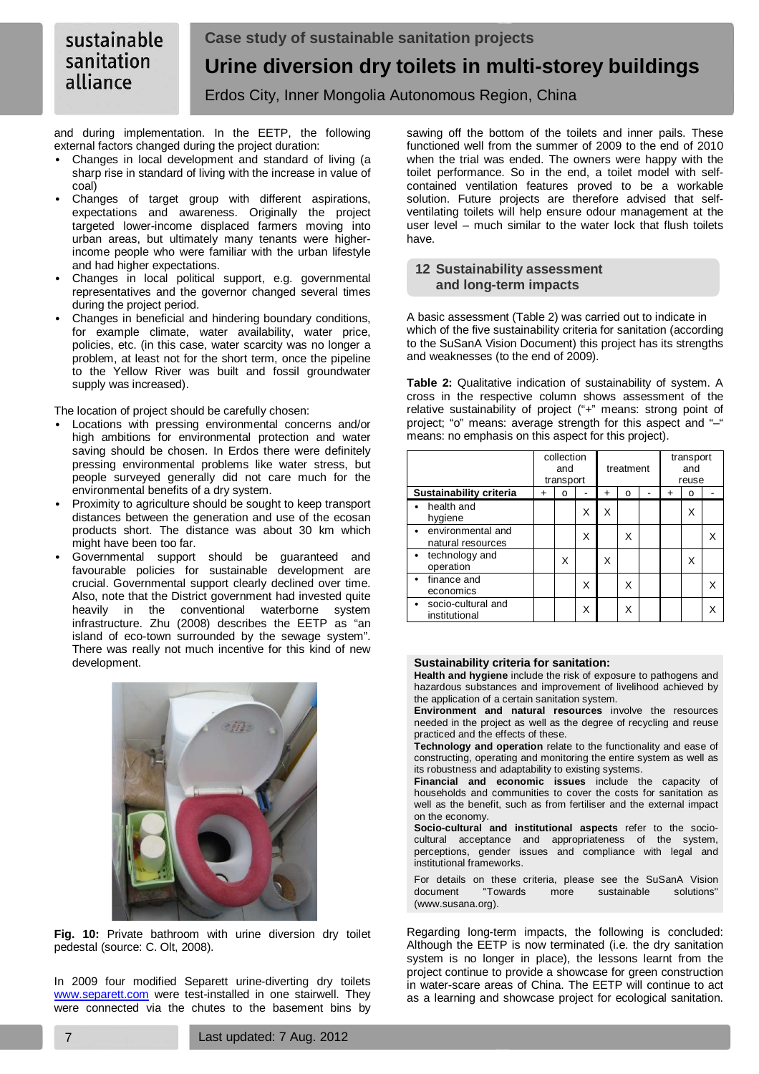and during implementation. In the EETP, the following external factors changed during the project duration:

- Changes in local development and standard of living (a sharp rise in standard of living with the increase in value of coal)
- Changes of target group with different aspirations, expectations and awareness. Originally the project targeted lower-income displaced farmers moving into urban areas, but ultimately many tenants were higherincome people who were familiar with the urban lifestyle and had higher expectations.
- Changes in local political support, e.g. governmental representatives and the governor changed several times during the project period.
- Changes in beneficial and hindering boundary conditions, for example climate, water availability, water price, policies, etc. (in this case, water scarcity was no longer a problem, at least not for the short term, once the pipeline to the Yellow River was built and fossil groundwater supply was increased).

The location of project should be carefully chosen:

- Locations with pressing environmental concerns and/or high ambitions for environmental protection and water saving should be chosen. In Erdos there were definitely pressing environmental problems like water stress, but people surveyed generally did not care much for the environmental benefits of a dry system.
- Proximity to agriculture should be sought to keep transport distances between the generation and use of the ecosan products short. The distance was about 30 km which might have been too far.
- Governmental support should be guaranteed and favourable policies for sustainable development are crucial. Governmental support clearly declined over time. Also, note that the District government had invested quite heavily in the conventional waterborne system infrastructure. Zhu (2008) describes the EETP as "an island of eco-town surrounded by the sewage system". There was really not much incentive for this kind of new development.



**Fig. 10:** Private bathroom with urine diversion dry toilet pedestal (source: C. Olt, 2008).

In 2009 four modified Separett urine-diverting dry toilets www.separett.com were test-installed in one stairwell. They were connected via the chutes to the basement bins by

sawing off the bottom of the toilets and inner pails. These functioned well from the summer of 2009 to the end of 2010 when the trial was ended. The owners were happy with the toilet performance. So in the end, a toilet model with selfcontained ventilation features proved to be a workable solution. Future projects are therefore advised that selfventilating toilets will help ensure odour management at the user level – much similar to the water lock that flush toilets have.

# **12 Sustainability assessment and long-term impacts**

A basic assessment (Table 2) was carried out to indicate in which of the five sustainability criteria for sanitation (according to the SuSanA Vision Document) this project has its strengths and weaknesses (to the end of 2009).

**Table 2:** Qualitative indication of sustainability of system. A cross in the respective column shows assessment of the relative sustainability of project ("+" means: strong point of project; "o" means: average strength for this aspect and "–" means: no emphasis on this aspect for this project).

|                                        | collection<br>and<br>transport |   |   | treatment |   |  | transport<br>and<br>reuse |   |   |
|----------------------------------------|--------------------------------|---|---|-----------|---|--|---------------------------|---|---|
| Sustainability criteria                | $\div$                         | O |   | +         | ο |  | $\div$                    | O |   |
| health and<br>hygiene                  |                                |   | X | X         |   |  |                           | X |   |
| environmental and<br>natural resources |                                |   | X |           | Χ |  |                           |   | Χ |
| $\bullet$ technology and<br>operation  |                                | X |   | X         |   |  |                           | X |   |
| finance and<br>economics               |                                |   | X |           | Χ |  |                           |   | Χ |
| socio-cultural and<br>institutional    |                                |   | X |           | Χ |  |                           |   |   |

# **Sustainability criteria for sanitation:**

**Health and hygiene** include the risk of exposure to pathogens and hazardous substances and improvement of livelihood achieved by the application of a certain sanitation system.

**Environment and natural resources** involve the resources needed in the project as well as the degree of recycling and reuse practiced and the effects of these.

**Technology and operation** relate to the functionality and ease of constructing, operating and monitoring the entire system as well as its robustness and adaptability to existing systems.

**Financial and economic issues** include the capacity of households and communities to cover the costs for sanitation as well as the benefit, such as from fertiliser and the external impact on the economy.

**Socio-cultural and institutional aspects** refer to the sociocultural acceptance and appropriateness of the system, perceptions, gender issues and compliance with legal and institutional frameworks.

For details on these criteria, please see the SuSanA Vision document "Towards more sustainable solutions" (www.susana.org).

Regarding long-term impacts, the following is concluded: Although the EETP is now terminated (i.e. the dry sanitation system is no longer in place), the lessons learnt from the project continue to provide a showcase for green construction in water-scare areas of China. The EETP will continue to act as a learning and showcase project for ecological sanitation.